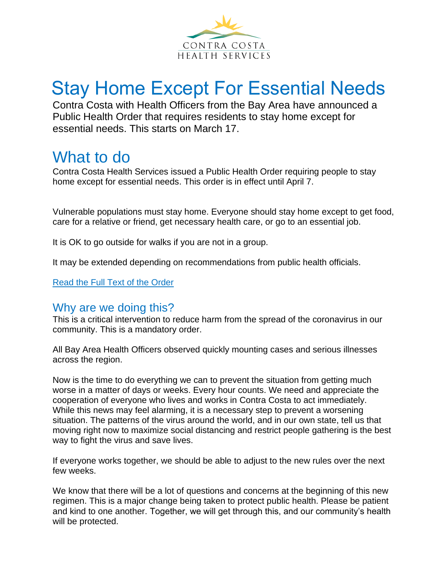

# Stay Home Except For Essential Needs

Contra Costa with Health Officers from the Bay Area have announced a Public Health Order that requires residents to stay home except for essential needs. This starts on March 17.

# What to do

Contra Costa Health Services issued a Public Health Order requiring people to stay home except for essential needs. This order is in effect until April 7.

Vulnerable populations must stay home. Everyone should stay home except to get food, care for a relative or friend, get necessary health care, or go to an essential job.

It is OK to go outside for walks if you are not in a group.

It may be extended depending on recommendations from public health officials.

[Read the Full Text of the Order](https://cchealth.org/coronavirus/pdf/HO-COVID19-SIP-0316-2020.pdf)

# Why are we doing this?

This is a critical intervention to reduce harm from the spread of the coronavirus in our community. This is a mandatory order.

All Bay Area Health Officers observed quickly mounting cases and serious illnesses across the region.

Now is the time to do everything we can to prevent the situation from getting much worse in a matter of days or weeks. Every hour counts. We need and appreciate the cooperation of everyone who lives and works in Contra Costa to act immediately. While this news may feel alarming, it is a necessary step to prevent a worsening situation. The patterns of the virus around the world, and in our own state, tell us that moving right now to maximize social distancing and restrict people gathering is the best way to fight the virus and save lives.

If everyone works together, we should be able to adjust to the new rules over the next few weeks.

We know that there will be a lot of questions and concerns at the beginning of this new regimen. This is a major change being taken to protect public health. Please be patient and kind to one another. Together, we will get through this, and our community's health will be protected.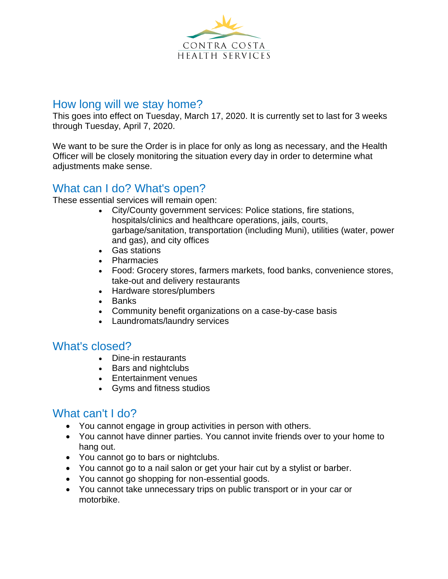

#### How long will we stay home?

This goes into effect on Tuesday, March 17, 2020. It is currently set to last for 3 weeks through Tuesday, April 7, 2020.

We want to be sure the Order is in place for only as long as necessary, and the Health Officer will be closely monitoring the situation every day in order to determine what adjustments make sense.

# What can I do? What's open?

These essential services will remain open:

- City/County government services: Police stations, fire stations, hospitals/clinics and healthcare operations, jails, courts, garbage/sanitation, transportation (including Muni), utilities (water, power and gas), and city offices
- Gas stations
- Pharmacies
- Food: Grocery stores, farmers markets, food banks, convenience stores, take-out and delivery restaurants
- Hardware stores/plumbers
- Banks
- Community benefit organizations on a case-by-case basis
- Laundromats/laundry services

#### What's closed?

- Dine-in restaurants
- Bars and nightclubs
- Entertainment venues
- Gyms and fitness studios

# What can't I do?

- You cannot engage in group activities in person with others.
- You cannot have dinner parties. You cannot invite friends over to your home to hang out.
- You cannot go to bars or nightclubs.
- You cannot go to a nail salon or get your hair cut by a stylist or barber.
- You cannot go shopping for non-essential goods.
- You cannot take unnecessary trips on public transport or in your car or motorbike.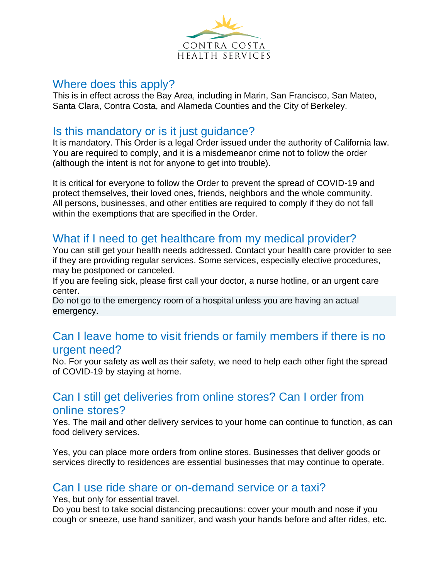

#### Where does this apply?

This is in effect across the Bay Area, including in Marin, San Francisco, San Mateo, Santa Clara, Contra Costa, and Alameda Counties and the City of Berkeley.

#### Is this mandatory or is it just guidance?

It is mandatory. This Order is a legal Order issued under the authority of California law. You are required to comply, and it is a misdemeanor crime not to follow the order (although the intent is not for anyone to get into trouble).

It is critical for everyone to follow the Order to prevent the spread of COVID-19 and protect themselves, their loved ones, friends, neighbors and the whole community. All persons, businesses, and other entities are required to comply if they do not fall within the exemptions that are specified in the Order.

# What if I need to get healthcare from my medical provider?

You can still get your health needs addressed. Contact your health care provider to see if they are providing regular services. Some services, especially elective procedures, may be postponed or canceled.

If you are feeling sick, please first call your doctor, a nurse hotline, or an urgent care center.

Do not go to the emergency room of a hospital unless you are having an actual emergency.

#### Can I leave home to visit friends or family members if there is no urgent need?

No. For your safety as well as their safety, we need to help each other fight the spread of COVID-19 by staying at home.

# Can I still get deliveries from online stores? Can I order from online stores?

Yes. The mail and other delivery services to your home can continue to function, as can food delivery services.

Yes, you can place more orders from online stores. Businesses that deliver goods or services directly to residences are essential businesses that may continue to operate.

#### Can I use ride share or on-demand service or a taxi?

Yes, but only for essential travel.

Do you best to take social distancing precautions: cover your mouth and nose if you cough or sneeze, use hand sanitizer, and wash your hands before and after rides, etc.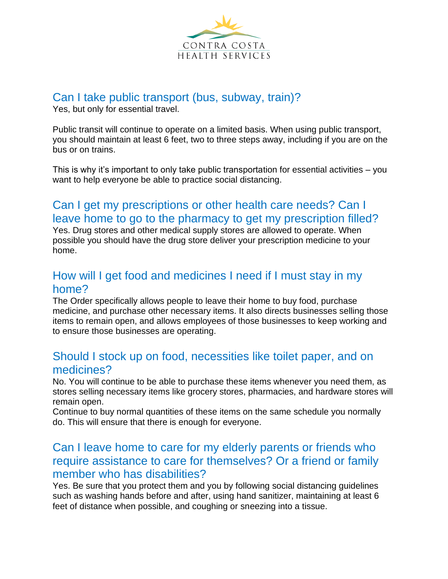

# Can I take public transport (bus, subway, train)?

Yes, but only for essential travel.

Public transit will continue to operate on a limited basis. When using public transport, you should maintain at least 6 feet, two to three steps away, including if you are on the bus or on trains.

This is why it's important to only take public transportation for essential activities – you want to help everyone be able to practice social distancing.

# Can I get my prescriptions or other health care needs? Can I leave home to go to the pharmacy to get my prescription filled?

Yes. Drug stores and other medical supply stores are allowed to operate. When possible you should have the drug store deliver your prescription medicine to your home.

# How will I get food and medicines I need if I must stay in my home?

The Order specifically allows people to leave their home to buy food, purchase medicine, and purchase other necessary items. It also directs businesses selling those items to remain open, and allows employees of those businesses to keep working and to ensure those businesses are operating.

#### Should I stock up on food, necessities like toilet paper, and on medicines?

No. You will continue to be able to purchase these items whenever you need them, as stores selling necessary items like grocery stores, pharmacies, and hardware stores will remain open.

Continue to buy normal quantities of these items on the same schedule you normally do. This will ensure that there is enough for everyone.

# Can I leave home to care for my elderly parents or friends who require assistance to care for themselves? Or a friend or family member who has disabilities?

Yes. Be sure that you protect them and you by following social distancing guidelines such as washing hands before and after, using hand sanitizer, maintaining at least 6 feet of distance when possible, and coughing or sneezing into a tissue.